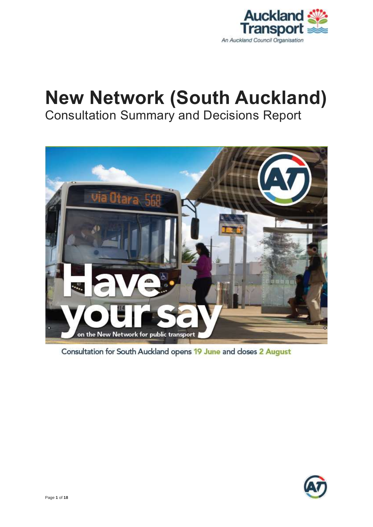

# **New Network (South Auckland)** Consultation Summary and Decisions Report



Consultation for South Auckland opens 19 June and closes 2 August

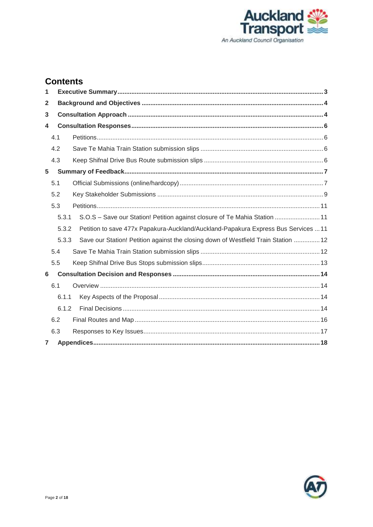

### **Contents**

| 1               |       |                                                                                    |  |  |  |
|-----------------|-------|------------------------------------------------------------------------------------|--|--|--|
| $\mathbf 2$     |       |                                                                                    |  |  |  |
| 3               |       |                                                                                    |  |  |  |
| 4               |       |                                                                                    |  |  |  |
|                 | 4.1   |                                                                                    |  |  |  |
|                 | 4.2   |                                                                                    |  |  |  |
|                 | 4.3   |                                                                                    |  |  |  |
| $5\phantom{.0}$ |       |                                                                                    |  |  |  |
|                 | 5.1   |                                                                                    |  |  |  |
|                 | 5.2   |                                                                                    |  |  |  |
|                 | 5.3   |                                                                                    |  |  |  |
|                 | 5.3.1 | S.O.S - Save our Station! Petition against closure of Te Mahia Station  11         |  |  |  |
|                 | 5.3.2 | Petition to save 477x Papakura-Auckland/Auckland-Papakura Express Bus Services  11 |  |  |  |
|                 | 5.3.3 | Save our Station! Petition against the closing down of Westfield Train Station  12 |  |  |  |
|                 | 5.4   |                                                                                    |  |  |  |
|                 | 5.5   |                                                                                    |  |  |  |
| 6               |       |                                                                                    |  |  |  |
|                 | 6.1   |                                                                                    |  |  |  |
|                 | 6.1.1 |                                                                                    |  |  |  |
|                 | 6.1.2 |                                                                                    |  |  |  |
|                 | 6.2   |                                                                                    |  |  |  |
|                 | 6.3   |                                                                                    |  |  |  |
| $\overline{7}$  |       |                                                                                    |  |  |  |

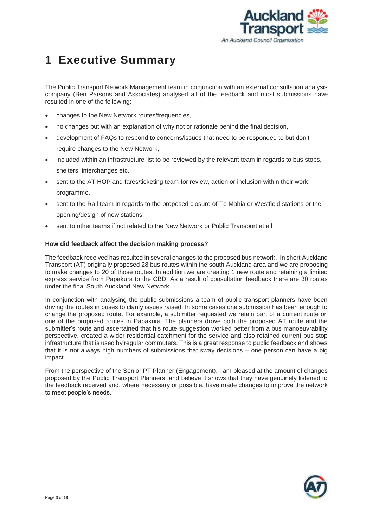

## <span id="page-2-0"></span>**1 Executive Summary**

The Public Transport Network Management team in conjunction with an external consultation analysis company (Ben Parsons and Associates) analysed all of the feedback and most submissions have resulted in one of the following:

- changes to the New Network routes/frequencies,
- no changes but with an explanation of why not or rationale behind the final decision,
- development of FAQs to respond to concerns/issues that need to be responded to but don't require changes to the New Network.
- included within an infrastructure list to be reviewed by the relevant team in regards to bus stops, shelters, interchanges etc.
- sent to the AT HOP and fares/ticketing team for review, action or inclusion within their work programme,
- sent to the Rail team in regards to the proposed closure of Te Mahia or Westfield stations or the opening/design of new stations,
- sent to other teams if not related to the New Network or Public Transport at all

#### **How did feedback affect the decision making process?**

The feedback received has resulted in several changes to the proposed bus network. In short Auckland Transport (AT) originally proposed 28 bus routes within the south Auckland area and we are proposing to make changes to 20 of those routes. In addition we are creating 1 new route and retaining a limited express service from Papakura to the CBD. As a result of consultation feedback there are 30 routes under the final South Auckland New Network.

In conjunction with analysing the public submissions a team of public transport planners have been driving the routes in buses to clarify issues raised. In some cases one submission has been enough to change the proposed route. For example, a submitter requested we retain part of a current route on one of the proposed routes in Papakura. The planners drove both the proposed AT route and the submitter's route and ascertained that his route suggestion worked better from a bus manoeuvrability perspective, created a wider residential catchment for the service and also retained current bus stop infrastructure that is used by regular commuters. This is a great response to public feedback and shows that it is not always high numbers of submissions that sway decisions – one person can have a big impact.

From the perspective of the Senior PT Planner (Engagement), I am pleased at the amount of changes proposed by the Public Transport Planners, and believe it shows that they have genuinely listened to the feedback received and, where necessary or possible, have made changes to improve the network to meet people's needs.

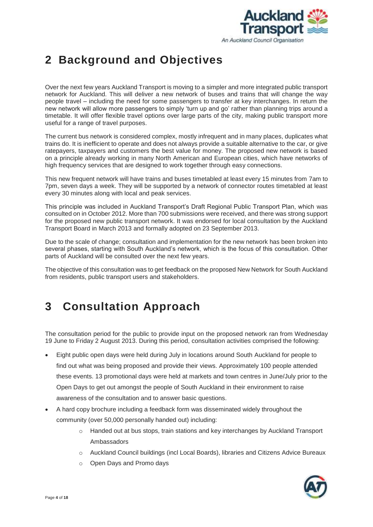

## <span id="page-3-0"></span>**2 Background and Objectives**

Over the next few years Auckland Transport is moving to a simpler and more integrated public transport network for Auckland. This will deliver a new network of buses and trains that will change the way people travel – including the need for some passengers to transfer at key interchanges. In return the new network will allow more passengers to simply 'turn up and go' rather than planning trips around a timetable. It will offer flexible travel options over large parts of the city, making public transport more useful for a range of travel purposes.

The current bus network is considered complex, mostly infrequent and in many places, duplicates what trains do. It is inefficient to operate and does not always provide a suitable alternative to the car, or give ratepayers, taxpayers and customers the best value for money. The proposed new network is based on a principle already working in many North American and European cities, which have networks of high frequency services that are designed to work together through easy connections.

This new frequent network will have trains and buses timetabled at least every 15 minutes from 7am to 7pm, seven days a week. They will be supported by a network of connector routes timetabled at least every 30 minutes along with local and peak services.

This principle was included in Auckland Transport's Draft Regional Public Transport Plan, which was consulted on in October 2012. More than 700 submissions were received, and there was strong support for the proposed new public transport network. It was endorsed for local consultation by the Auckland Transport Board in March 2013 and formally adopted on 23 September 2013.

Due to the scale of change; consultation and implementation for the new network has been broken into several phases, starting with South Auckland's network, which is the focus of this consultation. Other parts of Auckland will be consulted over the next few years.

The objective of this consultation was to get feedback on the proposed New Network for South Auckland from residents, public transport users and stakeholders.

## <span id="page-3-1"></span>**3 Consultation Approach**

The consultation period for the public to provide input on the proposed network ran from Wednesday 19 June to Friday 2 August 2013. During this period, consultation activities comprised the following:

- Eight public open days were held during July in locations around South Auckland for people to find out what was being proposed and provide their views. Approximately 100 people attended these events. 13 promotional days were held at markets and town centres in June/July prior to the Open Days to get out amongst the people of South Auckland in their environment to raise awareness of the consultation and to answer basic questions.
- A hard copy brochure including a feedback form was disseminated widely throughout the community (over 50,000 personally handed out) including:
	- o Handed out at bus stops, train stations and key interchanges by Auckland Transport Ambassadors
	- o Auckland Council buildings (incl Local Boards), libraries and Citizens Advice Bureaux
	- o Open Days and Promo days

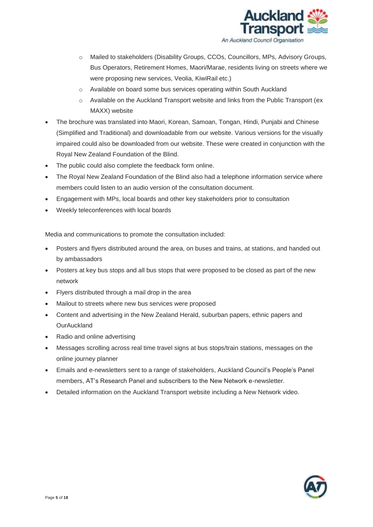

- o Mailed to stakeholders (Disability Groups, CCOs, Councillors, MPs, Advisory Groups, Bus Operators, Retirement Homes, Maori/Marae, residents living on streets where we were proposing new services, Veolia, KiwiRail etc.)
- o Available on board some bus services operating within South Auckland
- $\circ$  Available on the Auckland Transport website and links from the Public Transport (ex MAXX) website
- The brochure was translated into Maori, Korean, Samoan, Tongan, Hindi, Punjabi and Chinese (Simplified and Traditional) and downloadable from our website. Various versions for the visually impaired could also be downloaded from our website. These were created in conjunction with the Royal New Zealand Foundation of the Blind.
- The public could also complete the feedback form online.
- The Royal New Zealand Foundation of the Blind also had a telephone information service where members could listen to an audio version of the consultation document.
- Engagement with MPs, local boards and other key stakeholders prior to consultation
- Weekly teleconferences with local boards

Media and communications to promote the consultation included:

- Posters and flyers distributed around the area, on buses and trains, at stations, and handed out by ambassadors
- Posters at key bus stops and all bus stops that were proposed to be closed as part of the new network
- Flyers distributed through a mail drop in the area
- Mailout to streets where new bus services were proposed
- Content and advertising in the New Zealand Herald, suburban papers, ethnic papers and **OurAuckland**
- Radio and online advertising
- Messages scrolling across real time travel signs at bus stops/train stations, messages on the online journey planner
- Emails and e-newsletters sent to a range of stakeholders, Auckland Council's People's Panel members, AT's Research Panel and subscribers to the New Network e-newsletter.
- Detailed information on the Auckland Transport website including a New Network video.

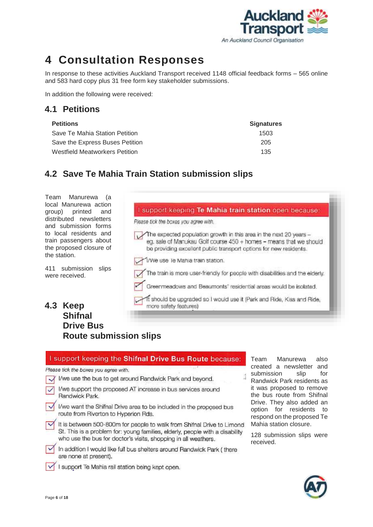

## <span id="page-5-0"></span>**4 Consultation Responses**

In response to these activities Auckland Transport received 1148 official feedback forms – 565 online and 583 hard copy plus 31 free form key stakeholder submissions.

In addition the following were received:

#### <span id="page-5-1"></span>**4.1 Petitions**

| <b>Petitions</b>                      | <b>Signatures</b> |
|---------------------------------------|-------------------|
| Save Te Mahia Station Petition        | 1503              |
| Save the Express Buses Petition       | 205               |
| <b>Westfield Meatworkers Petition</b> | 135               |

Please tick the boxes you agree with.

### <span id="page-5-2"></span>**4.2 Save Te Mahia Train Station submission slips**

Team Manurewa (a local Manurewa action group) printed and distributed newsletters and submission forms to local residents and train passengers about the proposed the station.

411 submiss were received

### <span id="page-5-3"></span>**4.3 Keep Shifr Drive Rout**

| closure of         | be providing excellent public transport options for new residents.                              |
|--------------------|-------------------------------------------------------------------------------------------------|
|                    | I/We use le Mahia train station.                                                                |
| sion<br>slips      | The train is more user-friendly for people with disabilities and the elderly.                   |
|                    | Greenmeadows and Beaumonts' residential areas would be isolated.                                |
|                    | ft should be upgraded so I would use it (Park and Ride, Kiss and Ride,<br>more safety features) |
| າal                |                                                                                                 |
| e Bus              |                                                                                                 |
| e submission slips |                                                                                                 |
|                    |                                                                                                 |
|                    |                                                                                                 |

I support keeping Te Mahia train station open because:

eg, sale of Manukau Golf course 450 + homes - means that we should

The expected population growth in this area in the next 20 years -

| I support keeping the Shifnal Drive Bus Route because:                                                                                                                                                                   |
|--------------------------------------------------------------------------------------------------------------------------------------------------------------------------------------------------------------------------|
| Please tick the boxes you agree with.                                                                                                                                                                                    |
| I/we use the bus to get around Randwick Park and beyond.                                                                                                                                                                 |
| I/we support the proposed AT increase in bus services around<br>Randwick Park.                                                                                                                                           |
| I/we want the Shifnal Drive area to be included in the proposed bus<br>route from Riverton to Hyperion Rds.                                                                                                              |
| It is between 500-800m for people to walk from Shifnal Drive to Limond<br>St. This is a problem for: young families, elderly, people with a disability<br>who use the bus for doctor's visits, shopping in all weathers. |
| In addition I would like full bus shelters around Randwick Park (there<br>are none at present).                                                                                                                          |
| support Te Mahia rail station being kept open.                                                                                                                                                                           |

Team Manurewa also created a newsletter and submission slip for Randwick Park residents as it was proposed to remove the bus route from Shifnal Drive. They also added an option for residents to respond on the proposed Te Mahia station closure.

128 submission slips were received.

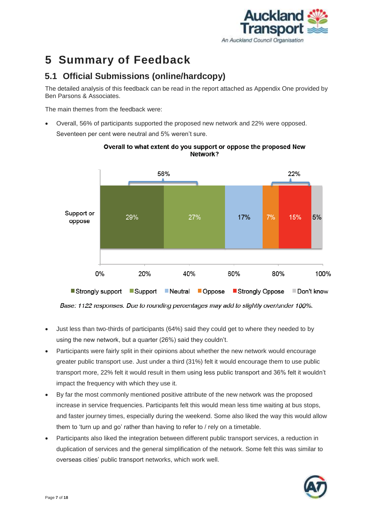

## <span id="page-6-0"></span>**5 Summary of Feedback**

### <span id="page-6-1"></span>**5.1 Official Submissions (online/hardcopy)**

The detailed analysis of this feedback can be read in the report attached as Appendix One provided by Ben Parsons & Associates.

The main themes from the feedback were:

 Overall, 56% of participants supported the proposed new network and 22% were opposed. Seventeen per cent were neutral and 5% weren't sure.



Overall to what extent do you support or oppose the proposed New Network?

Base: 1122 responses. Due to rounding percentages may add to slightly over/under 100%.

- Just less than two-thirds of participants (64%) said they could get to where they needed to by using the new network, but a quarter (26%) said they couldn't.
- Participants were fairly split in their opinions about whether the new network would encourage greater public transport use. Just under a third (31%) felt it would encourage them to use public transport more, 22% felt it would result in them using less public transport and 36% felt it wouldn't impact the frequency with which they use it.
- By far the most commonly mentioned positive attribute of the new network was the proposed increase in service frequencies. Participants felt this would mean less time waiting at bus stops, and faster journey times, especially during the weekend. Some also liked the way this would allow them to 'turn up and go' rather than having to refer to / rely on a timetable.
- Participants also liked the integration between different public transport services, a reduction in duplication of services and the general simplification of the network. Some felt this was similar to overseas cities' public transport networks, which work well.

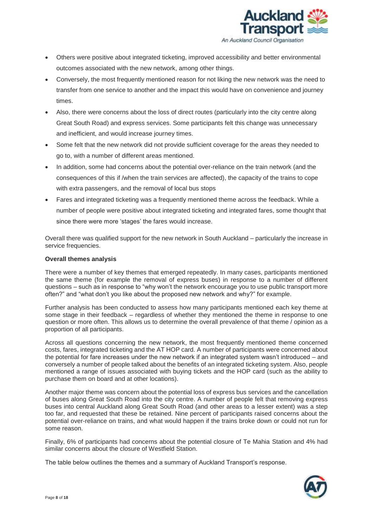

- Others were positive about integrated ticketing, improved accessibility and better environmental outcomes associated with the new network, among other things.
- Conversely, the most frequently mentioned reason for not liking the new network was the need to transfer from one service to another and the impact this would have on convenience and journey times.
- Also, there were concerns about the loss of direct routes (particularly into the city centre along Great South Road) and express services. Some participants felt this change was unnecessary and inefficient, and would increase journey times.
- Some felt that the new network did not provide sufficient coverage for the areas they needed to go to, with a number of different areas mentioned.
- In addition, some had concerns about the potential over-reliance on the train network (and the consequences of this if /when the train services are affected), the capacity of the trains to cope with extra passengers, and the removal of local bus stops
- Fares and integrated ticketing was a frequently mentioned theme across the feedback. While a number of people were positive about integrated ticketing and integrated fares, some thought that since there were more 'stages' the fares would increase.

Overall there was qualified support for the new network in South Auckland – particularly the increase in service frequencies.

#### **Overall themes analysis**

There were a number of key themes that emerged repeatedly. In many cases, participants mentioned the same theme (for example the removal of express buses) in response to a number of different questions – such as in response to "why won't the network encourage you to use public transport more often?" and "what don't you like about the proposed new network and why?" for example.

Further analysis has been conducted to assess how many participants mentioned each key theme at some stage in their feedback – regardless of whether they mentioned the theme in response to one question or more often. This allows us to determine the overall prevalence of that theme / opinion as a proportion of all participants.

Across all questions concerning the new network, the most frequently mentioned theme concerned costs, fares, integrated ticketing and the AT HOP card. A number of participants were concerned about the potential for fare increases under the new network if an integrated system wasn't introduced – and conversely a number of people talked about the benefits of an integrated ticketing system. Also, people mentioned a range of issues associated with buying tickets and the HOP card (such as the ability to purchase them on board and at other locations).

Another major theme was concern about the potential loss of express bus services and the cancellation of buses along Great South Road into the city centre. A number of people felt that removing express buses into central Auckland along Great South Road (and other areas to a lesser extent) was a step too far, and requested that these be retained. Nine percent of participants raised concerns about the potential over-reliance on trains, and what would happen if the trains broke down or could not run for some reason.

Finally, 6% of participants had concerns about the potential closure of Te Mahia Station and 4% had similar concerns about the closure of Westfield Station.

The table below outlines the themes and a summary of Auckland Transport's response.

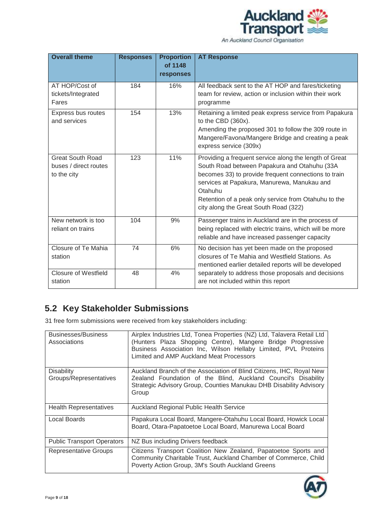

| <b>Overall theme</b>                                            | <b>Responses</b>                                               | <b>Proportion</b><br>of 1148<br>responses                                                                                                                                                                           | <b>AT Response</b>                                                                                                                                                                                                                                                    |
|-----------------------------------------------------------------|----------------------------------------------------------------|---------------------------------------------------------------------------------------------------------------------------------------------------------------------------------------------------------------------|-----------------------------------------------------------------------------------------------------------------------------------------------------------------------------------------------------------------------------------------------------------------------|
| AT HOP/Cost of<br>tickets/Integrated<br>Fares                   | 16%<br>184                                                     |                                                                                                                                                                                                                     | All feedback sent to the AT HOP and fares/ticketing<br>team for review, action or inclusion within their work<br>programme                                                                                                                                            |
| 13%<br>154<br>Express bus routes<br>and services                |                                                                | Retaining a limited peak express service from Papakura<br>to the CBD (360x).<br>Amending the proposed 301 to follow the 309 route in<br>Mangere/Favona/Mangere Bridge and creating a peak<br>express service (309x) |                                                                                                                                                                                                                                                                       |
| <b>Great South Road</b><br>buses / direct routes<br>to the city | 11%<br>123<br>Otahuhu<br>city along the Great South Road (322) |                                                                                                                                                                                                                     | Providing a frequent service along the length of Great<br>South Road between Papakura and Otahuhu (33A<br>becomes 33) to provide frequent connections to train<br>services at Papakura, Manurewa, Manukau and<br>Retention of a peak only service from Otahuhu to the |
| New network is too<br>reliant on trains                         | 104                                                            | 9%                                                                                                                                                                                                                  | Passenger trains in Auckland are in the process of<br>being replaced with electric trains, which will be more<br>reliable and have increased passenger capacity                                                                                                       |
| Closure of Te Mahia<br>station                                  | 74                                                             | 6%                                                                                                                                                                                                                  | No decision has yet been made on the proposed<br>closures of Te Mahia and Westfield Stations. As<br>mentioned earlier detailed reports will be developed                                                                                                              |
| <b>Closure of Westfield</b><br>station                          | 48                                                             | 4%                                                                                                                                                                                                                  | separately to address those proposals and decisions<br>are not included within this report                                                                                                                                                                            |

## <span id="page-8-0"></span>**5.2 Key Stakeholder Submissions**

31 free form submissions were received from key stakeholders including:

| <b>Businesses/Business</b><br>Associations  | Airplex Industries Ltd, Tonea Properties (NZ) Ltd, Talavera Retail Ltd<br>(Hunters Plaza Shopping Centre), Mangere Bridge Progressive<br>Business Association Inc, Wilson Hellaby Limited, PVL Proteins<br>Limited and AMP Auckland Meat Processors |
|---------------------------------------------|-----------------------------------------------------------------------------------------------------------------------------------------------------------------------------------------------------------------------------------------------------|
| <b>Disability</b><br>Groups/Representatives | Auckland Branch of the Association of Blind Citizens, IHC, Royal New<br>Zealand Foundation of the Blind, Auckland Council's Disability<br>Strategic Advisory Group, Counties Manukau DHB Disability Advisory<br>Group                               |
| <b>Health Representatives</b>               | Auckland Regional Public Health Service                                                                                                                                                                                                             |
| Local Boards                                | Papakura Local Board, Mangere-Otahuhu Local Board, Howick Local<br>Board, Otara-Papatoetoe Local Board, Manurewa Local Board                                                                                                                        |
| <b>Public Transport Operators</b>           | NZ Bus including Drivers feedback                                                                                                                                                                                                                   |
| <b>Representative Groups</b>                | Citizens Transport Coalition New Zealand, Papatoetoe Sports and<br>Community Charitable Trust, Auckland Chamber of Commerce, Child<br>Poverty Action Group, 3M's South Auckland Greens                                                              |

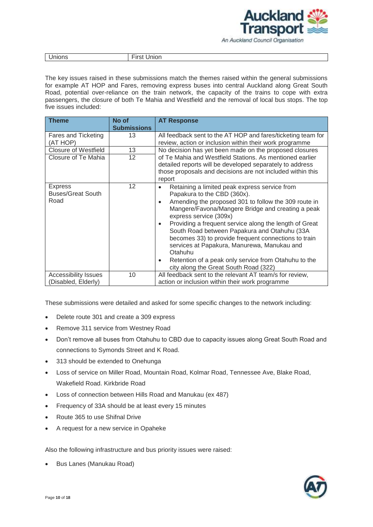

| Unions | . <b>.</b><br>Jnion |
|--------|---------------------|
|        |                     |

The key issues raised in these submissions match the themes raised within the general submissions for example AT HOP and Fares, removing express buses into central Auckland along Great South Road, potential over-reliance on the train network, the capacity of the trains to cope with extra passengers, the closure of both Te Mahia and Westfield and the removal of local bus stops. The top five issues included:

| <b>Theme</b>                                       | No of<br><b>Submissions</b> | <b>AT Response</b>                                                                                                                                                                                                                                                                                                                                                                                                                                                                                                                                                                           |
|----------------------------------------------------|-----------------------------|----------------------------------------------------------------------------------------------------------------------------------------------------------------------------------------------------------------------------------------------------------------------------------------------------------------------------------------------------------------------------------------------------------------------------------------------------------------------------------------------------------------------------------------------------------------------------------------------|
| Fares and Ticketing<br>(AT HOP)                    | 13                          | All feedback sent to the AT HOP and fares/ticketing team for<br>review, action or inclusion within their work programme                                                                                                                                                                                                                                                                                                                                                                                                                                                                      |
| <b>Closure of Westfield</b>                        | 13                          | No decision has yet been made on the proposed closures                                                                                                                                                                                                                                                                                                                                                                                                                                                                                                                                       |
| Closure of Te Mahia<br>12                          |                             | of Te Mahia and Westfield Stations. As mentioned earlier<br>detailed reports will be developed separately to address<br>those proposals and decisions are not included within this<br>report                                                                                                                                                                                                                                                                                                                                                                                                 |
| <b>Express</b><br><b>Buses/Great South</b><br>Road | 12                          | Retaining a limited peak express service from<br>٠<br>Papakura to the CBD (360x).<br>Amending the proposed 301 to follow the 309 route in<br>$\bullet$<br>Mangere/Favona/Mangere Bridge and creating a peak<br>express service (309x)<br>Providing a frequent service along the length of Great<br>$\bullet$<br>South Road between Papakura and Otahuhu (33A<br>becomes 33) to provide frequent connections to train<br>services at Papakura, Manurewa, Manukau and<br>Otahuhu<br>Retention of a peak only service from Otahuhu to the<br>$\bullet$<br>city along the Great South Road (322) |
| <b>Accessibility Issues</b><br>(Disabled, Elderly) | 10                          | All feedback sent to the relevant AT team/s for review,<br>action or inclusion within their work programme                                                                                                                                                                                                                                                                                                                                                                                                                                                                                   |

These submissions were detailed and asked for some specific changes to the network including:

- Delete route 301 and create a 309 express
- Remove 311 service from Westney Road
- Don't remove all buses from Otahuhu to CBD due to capacity issues along Great South Road and connections to Symonds Street and K Road.
- 313 should be extended to Onehunga
- Loss of service on Miller Road, Mountain Road, Kolmar Road, Tennessee Ave, Blake Road, Wakefield Road. Kirkbride Road
- Loss of connection between Hills Road and Manukau (ex 487)
- Frequency of 33A should be at least every 15 minutes
- Route 365 to use Shifnal Drive
- A request for a new service in Opaheke

Also the following infrastructure and bus priority issues were raised:

• Bus Lanes (Manukau Road)

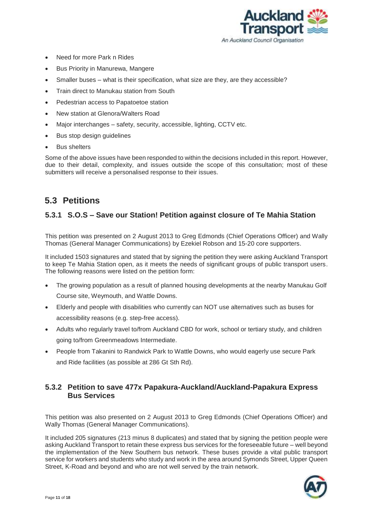

- Need for more Park n Rides
- Bus Priority in Manurewa, Mangere
- Smaller buses what is their specification, what size are they, are they accessible?
- Train direct to Manukau station from South
- Pedestrian access to Papatoetoe station
- New station at Glenora/Walters Road
- Major interchanges safety, security, accessible, lighting, CCTV etc.
- Bus stop design guidelines
- Bus shelters

Some of the above issues have been responded to within the decisions included in this report. However, due to their detail, complexity, and issues outside the scope of this consultation; most of these submitters will receive a personalised response to their issues.

### <span id="page-10-0"></span>**5.3 Petitions**

#### <span id="page-10-1"></span>**5.3.1 S.O.S – Save our Station! Petition against closure of Te Mahia Station**

This petition was presented on 2 August 2013 to Greg Edmonds (Chief Operations Officer) and Wally Thomas (General Manager Communications) by Ezekiel Robson and 15-20 core supporters.

It included 1503 signatures and stated that by signing the petition they were asking Auckland Transport to keep Te Mahia Station open, as it meets the needs of significant groups of public transport users. The following reasons were listed on the petition form:

- The growing population as a result of planned housing developments at the nearby Manukau Golf Course site, Weymouth, and Wattle Downs.
- Elderly and people with disabilities who currently can NOT use alternatives such as buses for accessibility reasons (e.g. step-free access).
- Adults who regularly travel to/from Auckland CBD for work, school or tertiary study, and children going to/from Greenmeadows Intermediate.
- People from Takanini to Randwick Park to Wattle Downs, who would eagerly use secure Park and Ride facilities (as possible at 286 Gt Sth Rd).

#### <span id="page-10-2"></span>**5.3.2 Petition to save 477x Papakura-Auckland/Auckland-Papakura Express Bus Services**

This petition was also presented on 2 August 2013 to Greg Edmonds (Chief Operations Officer) and Wally Thomas (General Manager Communications).

It included 205 signatures (213 minus 8 duplicates) and stated that by signing the petition people were asking Auckland Transport to retain these express bus services for the foreseeable future – well beyond the implementation of the New Southern bus network. These buses provide a vital public transport service for workers and students who study and work in the area around Symonds Street, Upper Queen Street, K-Road and beyond and who are not well served by the train network.

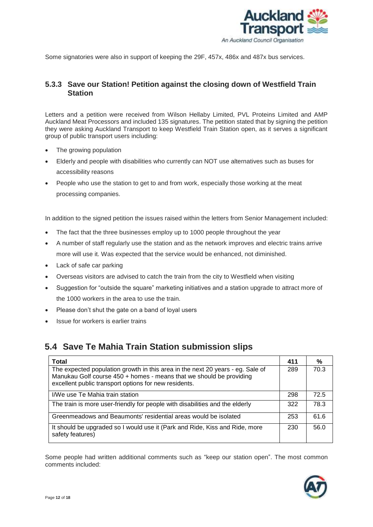

Some signatories were also in support of keeping the 29F, 457x, 486x and 487x bus services.

#### <span id="page-11-0"></span>**5.3.3 Save our Station! Petition against the closing down of Westfield Train Station**

Letters and a petition were received from Wilson Hellaby Limited, PVL Proteins Limited and AMP Auckland Meat Processors and included 135 signatures. The petition stated that by signing the petition they were asking Auckland Transport to keep Westfield Train Station open, as it serves a significant group of public transport users including:

- The growing population
- Elderly and people with disabilities who currently can NOT use alternatives such as buses for accessibility reasons
- People who use the station to get to and from work, especially those working at the meat processing companies.

In addition to the signed petition the issues raised within the letters from Senior Management included:

- The fact that the three businesses employ up to 1000 people throughout the year
- A number of staff regularly use the station and as the network improves and electric trains arrive more will use it. Was expected that the service would be enhanced, not diminished.
- Lack of safe car parking
- Overseas visitors are advised to catch the train from the city to Westfield when visiting
- Suggestion for "outside the square" marketing initiatives and a station upgrade to attract more of the 1000 workers in the area to use the train.
- Please don't shut the gate on a band of loyal users
- Issue for workers is earlier trains

### <span id="page-11-1"></span>**5.4 Save Te Mahia Train Station submission slips**

| <b>Total</b>                                                                                                                                                                                                   | 411 | %    |
|----------------------------------------------------------------------------------------------------------------------------------------------------------------------------------------------------------------|-----|------|
| The expected population growth in this area in the next 20 years - eg. Sale of<br>Manukau Golf course 450 + homes - means that we should be providing<br>excellent public transport options for new residents. | 289 | 70.3 |
| I/We use Te Mahia train station                                                                                                                                                                                | 298 | 72.5 |
| The train is more user-friendly for people with disabilities and the elderly                                                                                                                                   | 322 | 78.3 |
| Greenmeadows and Beaumonts' residential areas would be isolated                                                                                                                                                | 253 | 61.6 |
| It should be upgraded so I would use it (Park and Ride, Kiss and Ride, more<br>safety features)                                                                                                                | 230 | 56.0 |

Some people had written additional comments such as "keep our station open". The most common comments included:

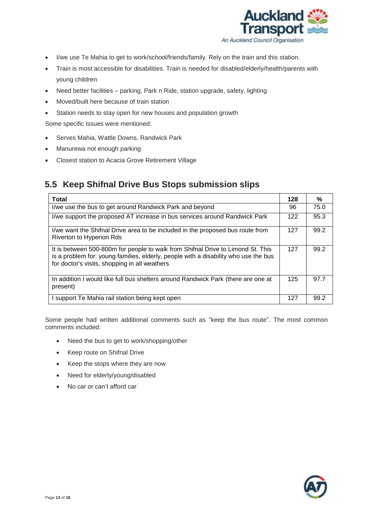

- I/we use Te Mahia to get to work/school/friends/family. Rely on the train and this station.
- Train is most accessible for disabilities. Train is needed for disabled/elderly/health/parents with young children
- Need better facilities parking, Park n Ride, station upgrade, safety, lighting
- Moved/built here because of train station
- Station needs to stay open for new houses and population growth

Some specific issues were mentioned:

- Serves Mahia, Wattle Downs, Randwick Park
- Manurewa not enough parking
- Closest station to Acacia Grove Retirement Village

#### <span id="page-12-0"></span>**5.5 Keep Shifnal Drive Bus Stops submission slips**

| Total                                                                                                                                                                                                                   | 128 | %    |
|-------------------------------------------------------------------------------------------------------------------------------------------------------------------------------------------------------------------------|-----|------|
| I/we use the bus to get around Randwick Park and beyond                                                                                                                                                                 | 96  | 75.0 |
| I/we support the proposed AT increase in bus services around Randwick Park                                                                                                                                              | 122 | 95.3 |
| I/we want the Shifnal Drive area to be included in the proposed bus route from<br>Riverton to Hyperion Rds                                                                                                              | 127 | 99.2 |
| It is between 500-800m for people to walk from Shifnal Drive to Limond St. This<br>is a problem for: young families, elderly, people with a disability who use the bus<br>for doctor's visits, shopping in all weathers | 127 | 99.2 |
| In addition I would like full bus shelters around Randwick Park (there are one at<br>present)                                                                                                                           | 125 | 97.7 |
| I support Te Mahia rail station being kept open                                                                                                                                                                         | 127 | 99.2 |

Some people had written additional comments such as "keep the bus route". The most common comments included:

- Need the bus to get to work/shopping/other
- Keep route on Shifnal Drive
- Keep the stops where they are now
- Need for elderly/young/disabled
- No car or can't afford car

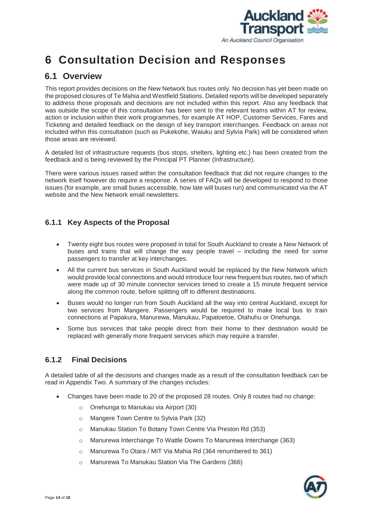

## <span id="page-13-0"></span>**6 Consultation Decision and Responses**

### <span id="page-13-1"></span>**6.1 Overview**

This report provides decisions on the New Network bus routes only. No decision has yet been made on the proposed closures of Te Mahia and Westfield Stations. Detailed reports will be developed separately to address those proposals and decisions are not included within this report. Also any feedback that was outside the scope of this consultation has been sent to the relevant teams within AT for review, action or inclusion within their work programmes, for example AT HOP, Customer Services, Fares and Ticketing and detailed feedback on the design of key transport interchanges. Feedback on areas not included within this consultation (such as Pukekohe, Waiuku and Sylvia Park) will be considered when those areas are reviewed.

A detailed list of infrastructure requests (bus stops, shelters, lighting etc.) has been created from the feedback and is being reviewed by the Principal PT Planner (Infrastructure).

There were various issues raised within the consultation feedback that did not require changes to the network itself however do require a response. A series of FAQs will be developed to respond to those issues (for example, are small buses accessible, how late will buses run) and communicated via the AT website and the New Network email newsletters.

#### <span id="page-13-2"></span>**6.1.1 Key Aspects of the Proposal**

- Twenty eight bus routes were proposed in total for South Auckland to create a New Network of buses and trains that will change the way people travel – including the need for some passengers to transfer at key interchanges.
- All the current bus services in South Auckland would be replaced by the New Network which would provide local connections and would introduce four new frequent bus routes, two of which were made up of 30 minute connector services timed to create a 15 minute frequent service along the common route, before splitting off to different destinations.
- Buses would no longer run from South Auckland all the way into central Auckland, except for two services from Mangere. Passengers would be required to make local bus to train connections at Papakura, Manurewa, Manukau, Papatoetoe, Otahuhu or Onehunga.
- Some bus services that take people direct from their home to their destination would be replaced with generally more frequent services which may require a transfer.

#### <span id="page-13-3"></span>**6.1.2 Final Decisions**

A detailed table of all the decisions and changes made as a result of the consultation feedback can be read in Appendix Two. A summary of the changes includes:

- Changes have been made to 20 of the proposed 28 routes. Only 8 routes had no change:
	- o Onehunga to Manukau via Airport (30)
	- o Mangere Town Centre to Sylvia Park (32)
	- o Manukau Station To Botany Town Centre Via Preston Rd (353)
	- o Manurewa Interchange To Wattle Downs To Manurewa Interchange (363)
	- o Manurewa To Otara / MIT Via Mahia Rd (364 renumbered to 361)
	- o Manurewa To Manukau Station Via The Gardens (366)

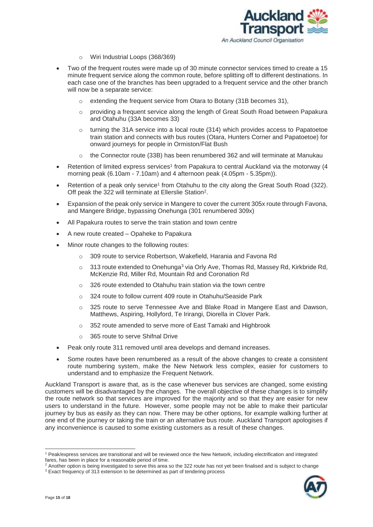

- o Wiri Industrial Loops (368/369)
- Two of the frequent routes were made up of 30 minute connector services timed to create a 15 minute frequent service along the common route, before splitting off to different destinations. In each case one of the branches has been upgraded to a frequent service and the other branch will now be a separate service:
	- o extending the frequent service from Otara to Botany (31B becomes 31),
	- o providing a frequent service along the length of Great South Road between Papakura and Otahuhu (33A becomes 33)
	- $\circ$  turning the 31A service into a local route (314) which provides access to Papatoetoe train station and connects with bus routes (Otara, Hunters Corner and Papatoetoe) for onward journeys for people in Ormiston/Flat Bush
	- $\circ$  the Connector route (33B) has been renumbered 362 and will terminate at Manukau
- Retention of limited express services<sup>1</sup> from Papakura to central Auckland via the motorway (4 morning peak (6.10am - 7.10am) and 4 afternoon peak (4.05pm - 5.35pm)).
- Retention of a peak only service<sup>1</sup> from Otahuhu to the city along the Great South Road (322). Off peak the 322 will terminate at Ellerslie Station<sup>2</sup>.
- Expansion of the peak only service in Mangere to cover the current 305x route through Favona, and Mangere Bridge, bypassing Onehunga (301 renumbered 309x)
- All Papakura routes to serve the train station and town centre
- A new route created Opaheke to Papakura
- Minor route changes to the following routes:
	- 309 route to service Robertson, Wakefield, Harania and Favona Rd
	- $\circ$  313 route extended to Onehunga<sup>3</sup> via Orly Ave, Thomas Rd, Massey Rd, Kirkbride Rd, McKenzie Rd, Miller Rd, Mountain Rd and Coronation Rd
	- o 326 route extended to Otahuhu train station via the town centre
	- o 324 route to follow current 409 route in Otahuhu/Seaside Park
	- o 325 route to serve Tennessee Ave and Blake Road in Mangere East and Dawson, Matthews, Aspiring, Hollyford, Te Irirangi, Diorella in Clover Park.
	- o 352 route amended to serve more of East Tamaki and Highbrook
	- o 365 route to serve Shifnal Drive
- Peak only route 311 removed until area develops and demand increases.
- Some routes have been renumbered as a result of the above changes to create a consistent route numbering system, make the New Network less complex, easier for customers to understand and to emphasize the Frequent Network.

Auckland Transport is aware that, as is the case whenever bus services are changed, some existing customers will be disadvantaged by the changes. The overall objective of these changes is to simplify the route network so that services are improved for the majority and so that they are easier for new users to understand in the future. However, some people may not be able to make their particular journey by bus as easily as they can now. There may be other options, for example walking further at one end of the journey or taking the train or an alternative bus route. Auckland Transport apologises if any inconvenience is caused to some existing customers as a result of these changes.

<sup>&</sup>lt;sup>2</sup> Another option is being investigated to serve this area so the 322 route has not yet been finalised and is subject to change <sup>3</sup> Exact frequency of 313 extension to be determined as part of tendering process



-

<sup>1</sup> Peak/express services are transitional and will be reviewed once the New Network, including electrification and integrated fares, has been in place for a reasonable period of time.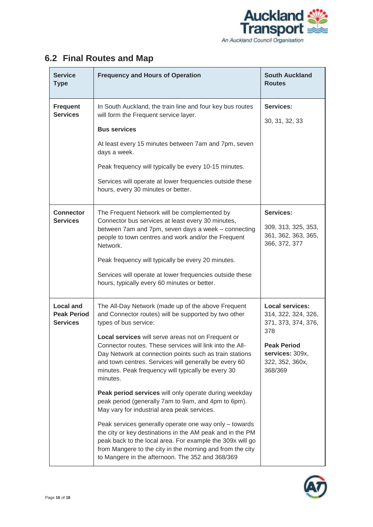

## <span id="page-15-0"></span>**6.2 Final Routes and Map**

| <b>Service</b><br><b>Type</b>                             | <b>Frequency and Hours of Operation</b>                                                                                                                                                                                                                                                                                                                                                                                                                                                                                                                                                                                                                                                                                                                                                                                                                                                                         | <b>South Auckland</b><br><b>Routes</b>                                                                                                             |
|-----------------------------------------------------------|-----------------------------------------------------------------------------------------------------------------------------------------------------------------------------------------------------------------------------------------------------------------------------------------------------------------------------------------------------------------------------------------------------------------------------------------------------------------------------------------------------------------------------------------------------------------------------------------------------------------------------------------------------------------------------------------------------------------------------------------------------------------------------------------------------------------------------------------------------------------------------------------------------------------|----------------------------------------------------------------------------------------------------------------------------------------------------|
| <b>Frequent</b><br><b>Services</b>                        | In South Auckland, the train line and four key bus routes<br>will form the Frequent service layer.<br><b>Bus services</b><br>At least every 15 minutes between 7am and 7pm, seven                                                                                                                                                                                                                                                                                                                                                                                                                                                                                                                                                                                                                                                                                                                               | <b>Services:</b><br>30, 31, 32, 33                                                                                                                 |
|                                                           | days a week.<br>Peak frequency will typically be every 10-15 minutes.<br>Services will operate at lower frequencies outside these<br>hours, every 30 minutes or better.                                                                                                                                                                                                                                                                                                                                                                                                                                                                                                                                                                                                                                                                                                                                         |                                                                                                                                                    |
| <b>Connector</b><br><b>Services</b>                       | The Frequent Network will be complemented by<br>Connector bus services at least every 30 minutes,<br>between 7am and 7pm, seven days a week - connecting<br>people to town centres and work and/or the Frequent<br>Network.<br>Peak frequency will typically be every 20 minutes.<br>Services will operate at lower frequencies outside these<br>hours, typically every 60 minutes or better.                                                                                                                                                                                                                                                                                                                                                                                                                                                                                                                   | <b>Services:</b><br>309, 313, 325, 353,<br>361, 362, 363, 365,<br>366, 372, 377                                                                    |
| <b>Local and</b><br><b>Peak Period</b><br><b>Services</b> | The All-Day Network (made up of the above Frequent<br>and Connector routes) will be supported by two other<br>types of bus service:<br>Local services will serve areas not on Frequent or<br>Connector routes. These services will link into the All-<br>Day Network at connection points such as train stations<br>and town centres. Services will generally be every 60<br>minutes. Peak frequency will typically be every 30<br>minutes.<br>Peak period services will only operate during weekday<br>peak period (generally 7am to 9am, and 4pm to 6pm).<br>May vary for industrial area peak services.<br>Peak services generally operate one way only - towards<br>the city or key destinations in the AM peak and in the PM<br>peak back to the local area. For example the 309x will go<br>from Mangere to the city in the morning and from the city<br>to Mangere in the afternoon. The 352 and 368/369 | <b>Local services:</b><br>314, 322, 324, 326,<br>371, 373, 374, 376,<br>378<br><b>Peak Period</b><br>services: 309x,<br>322, 352, 360x,<br>368/369 |

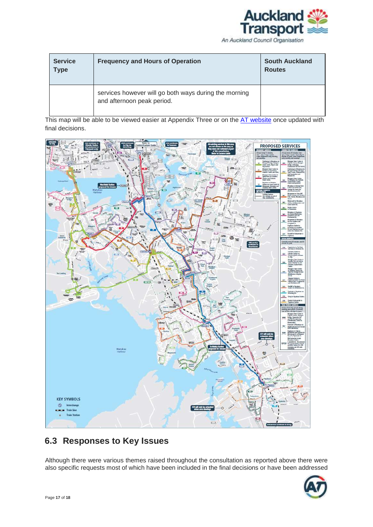

An Auckland Council Organisation

| <b>Service</b><br><b>Type</b> | <b>Frequency and Hours of Operation</b>                                             | <b>South Auckland</b><br><b>Routes</b> |
|-------------------------------|-------------------------------------------------------------------------------------|----------------------------------------|
|                               | services however will go both ways during the morning<br>and afternoon peak period. |                                        |

This map will be able to be viewed easier at Appendix Three or on the AT [website](http://www.aucklandtransport.govt.nz/improving-transport/new-network/Pages/default.aspx) once updated with final decisions.



### <span id="page-16-0"></span>**6.3 Responses to Key Issues**

Although there were various themes raised throughout the consultation as reported above there were also specific requests most of which have been included in the final decisions or have been addressed